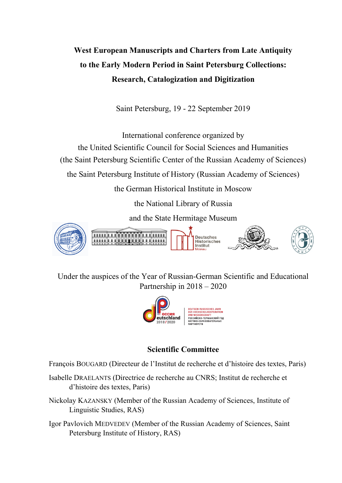# **West European Manuscripts and Charters from Late Antiquity to the Early Modern Period in Saint Petersburg Collections: Research, Catalogization and Digitization**

Saint Petersburg, 19 - 22 September 2019

International conference organized by the United Scientific Council for Social Sciences and Humanities (the Saint Petersburg Scientific Center of the Russian Academy of Sciences) the Saint Petersburg Institute of History (Russian Academy of Sciences) the German Historical Institute in Moscow the National Library of Russia and the State Hermitage Museum Ծանաս աստեսմ **Deutsches HILLER** 11111111 Historisches Institut ļ

Under the auspices of the Year of Russian-German Scientific and Educational Partnership in 2018 – 2020



# **Scientific Committee**

François BOUGARD (Directeur de l'Institut de recherche et d'histoire des textes, Paris)

Isabelle DRAELANTS (Directrice de recherche au CNRS; Institut de recherche et d'histoire des textes, Paris)

Nickolay KAZANSKY (Member of the Russian Academy of Sciences, Institute of Linguistic Studies, RAS)

Igor Pavlovich MEDVEDEV (Member of the Russian Academy of Sciences, Saint Petersburg Institute of History, RAS)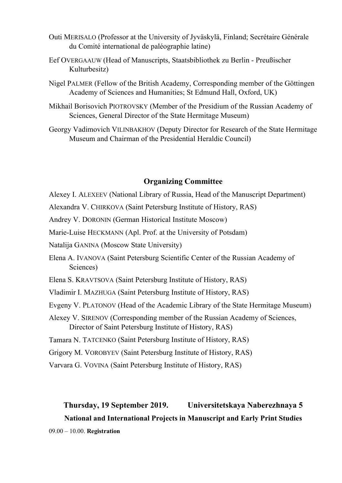- Outi MERISALO (Professor at the University of Jyväskylä, Finland; Secrétaire Générale du Comité international de paléographie latine)
- Eef OVERGAAUW (Head of Manuscripts, Staatsbibliothek zu Berlin Preußischer Kulturbesitz)
- Nigel PALMER (Fellow of the British Academy, Corresponding member of the Göttingen Academy of Sciences and Humanities; St Edmund Hall, Oxford, UK)
- Mikhail Borisovich PIOTROVSKY (Member of the Presidium of the Russian Academy of Sciences, General Director of the State Hermitage Museum)
- Georgy Vadimovich VILINBAKHOV (Deputy Director for Research of the State Hermitage Museum and Chairman of the Presidential Heraldic Council)

# **Organizing Committee**

- Alexey I. ALEXEEV (National Library of Russia, Head of the Manuscript Department)
- Alexandra V. CHIRKOVA (Saint Petersburg Institute of History, RAS)
- Andrey V. DORONIN (German Historical Institute Moscow)
- Marie-Luise HECKMANN (Apl. Prof. at the University of Potsdam)
- Natalija GANINA (Moscow State University)
- Elena A. IVANOVA (Saint Petersburg Scientific Center of the Russian Academy of Sciences)
- Elena S. KRAVTSOVA (Saint Petersburg Institute of History, RAS)
- Vladimir I. MAZHUGA (Saint Petersburg Institute of History, RAS)
- Evgeny V. PLATONOV (Head of the Academic Library of the State Hermitage Museum)
- Alexey V. SIRENOV (Corresponding member of the Russian Academy of Sciences, Director of Saint Petersburg Institute of History, RAS)
- Tamara N. TATCENKO (Saint Petersburg Institute of History, RAS)
- Grigory M. VOROBYEV (Saint Petersburg Institute of History, RAS)
- Varvara G. VOVINA (Saint Petersburg Institute of History, RAS)

# **Thursday, 19 September 2019. Universitetskaya Naberezhnaya 5**

# **National and International Projects in Manuscript and Early Print Studies**

09.00 – 10.00. **Registration**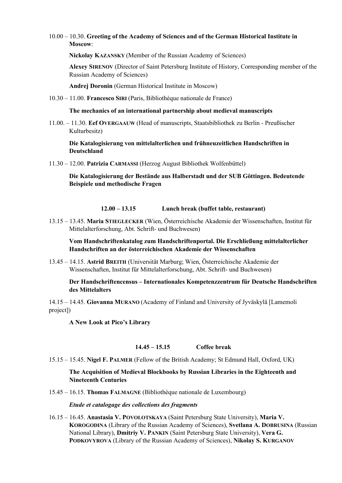#### 10.00 – 10.30. **Greeting of the Academy of Sciences and of the German Historical Institute in Moscow**:

**Nickolay KAZANSKY** (Member of the Russian Academy of Sciences)

**Alexey SIRENOV** (Director of Saint Petersburg Institute of History, Corresponding member of the Russian Academy of Sciences)

**Andrej Doronin** (German Historical Institute in Moscow)

10.30 – 11.00. **Francesco SIRI** (Paris, Bibliothèque nationale de France)

**The mechanics of an international partnership about medieval manuscripts**

11.00. – 11.30. **Eef OVERGAAUW** (Head of manuscripts, Staatsbibliothek zu Berlin - Preußischer Kulturbesitz)

**Die Katalogisierung von mittelalterlichen und frühneuzeitlichen Handschriften in Deutschland**

11.30 – 12.00. **Patrizia CARMASSI** (Herzog August Bibliothek Wolfenbüttel)

**Die Katalogisierung der Bestände aus Halberstadt und der SUB Göttingen. Bedeutende Beispiele und methodische Fragen**

#### **12.00 – 13.15 Lunch break (buffet table, restaurant)**

13.15 – 13.45. **Maria STIEGLECKER** (Wien, Österreichische Akademie der Wissenschaften, Institut für Mittelalterforschung, Abt. Schrift- und Buchwesen)

**Vom Handschriftenkatalog zum Handschriftenportal. Die Erschließung mittelalterlicher Handschriften an der österreichischen Akademie der Wissenschaften**

13.45 – 14.15. **Astrid BREITH** (Universität Marburg; Wien, Österreichische Akademie der Wissenschaften, Institut für Mittelalterforschung, Abt. Schrift- und Buchwesen)

**Der Handschriftencensus – Internationales Kompetenzzentrum für Deutsche Handschriften des Mittelalters**

14.15 – 14.45. **Giovanna MURANO** (Academy of Finland and University of Jyväskylä [Lamemoli project])

**A New Look at Pico's Library**

#### **14.45 – 15.15 Coffee break**

15.15 – 15.45. **Nigel F. PALMER** (Fellow of the British Academy; St Edmund Hall, Oxford, UK)

**The Acquisition of Medieval Blockbooks by Russian Libraries in the Eighteenth and Nineteenth Centuries**

15.45 – 16.15. **Thomas FALMAGNE** (Bibliothèque nationale de Luxembourg)

*Etude et catalogage des collections des fragments*

16.15 – 16.45. **Anastasia V. POVOLOTSKAYA** (Saint Petersburg State University), **Maria V. KOROGODINA** (Library of the Russian Academy of Sciences), **Svetlana A. DOBRUSINA** (Russian National Library), **Dmitriy V. PANKIN** (Saint Petersburg State University), **Vera G. PODKOVYROVA** (Library of the Russian Academy of Sciences), **Nikolay S. KURGANOV**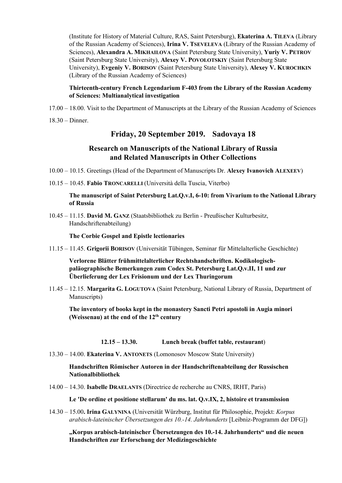(Institute for History of Material Culture, RAS, Saint Petersburg), **Ekaterina A. TILEVA** (Library of the Russian Academy of Sciences), **Irina V. TSEVELEVA** (Library of the Russian Academy of Sciences), **Alexandra A. MIKHAILOVA** (Saint Petersburg State University), **Yuriy V. PETROV** (Saint Petersburg State University), **Alexey V. POVOLOTSKIY** (Saint Petersburg State University), **Evgeniy V. BORISOV** (Saint Petersburg State University), **Alexey V. KUROCHKIN** (Library of the Russian Academy of Sciences)

#### **Thirteenth-century French Legendarium F-403 from the Library of the Russian Academy of Sciences: Multianalytical investigation**

- 17.00 18.00. Visit to the Department of Manuscripts at the Library of the Russian Academy of Sciences
- 18.30 Dinner.

## **Friday, 20 September 2019. Sadovaya 18**

# **Research on Manuscripts of the National Library of Russia and Related Manuscripts in Other Collections**

- 10.00 10.15. Greetings (Head of the Department of Manuscripts Dr. **Alexey Ivanovich ALEXEEV**)
- 10.15 10.45. **Fabio TRONCARELLI** (Università della Tuscia, Viterbo)

**The manuscript of Saint Petersburg Lat.Q.v.I, 6-10: from Vivarium to the National Library of Russia**

10.45 – 11.15. **David M. GANZ** (Staatsbibliothek zu Berlin - Preußischer Kulturbesitz, Handschriftenabteilung)

**The Corbie Gospel and Epistle lectionaries**

11.15 – 11.45. **Grigorii BORISOV** (Universität Tübingen, Seminar für Mittelalterliche Geschichte)

**Verlorene Blätter frühmittelalterlicher Rechtshandschriften. Kodikologischpaläographische Bemerkungen zum Codex St. Petersburg Lat.Q.v.II, 11 und zur Überlieferung der Lex Frisionum und der Lex Thuringorum**

11.45 – 12.15. **Margarita G. LOGUTOVA** (Saint Petersburg, National Library of Russia, Department of Manuscripts)

**The inventory of books kept in the monastery Sancti Petri apostoli in Augia minori (Weissenau) at the end of the 12th century**

**12.15 – 13.30. Lunch break (buffet table, restaurant**)

13.30 – 14.00. **Ekaterina V. ANTONETS** (Lomonosov Moscow State University)

**Handschriften Römischer Autoren in der Handschriftenabteilung der Russischen Nationalbibliothek**

14.00 – 14.30. **Isabelle DRAELANTS** (Directrice de recherche au CNRS, IRHT, Paris)

**Le 'De ordine et positione stellarum' du ms. lat. Q.v.IX, 2, histoire et transmission**

14.30 – 15.00**. Irina GALYNINA** (Universität Würzburg, Institut für Philosophie, Projekt: *Korpus arabisch-lateinischer Übersetzungen des 10.-14. Jahrhunderts* [Leibniz-Programm der DFG])

**"Korpus arabisch-lateinischer Übersetzungen des 10.-14. Jahrhunderts" und die neuen Handschriften zur Erforschung der Medizingeschichte**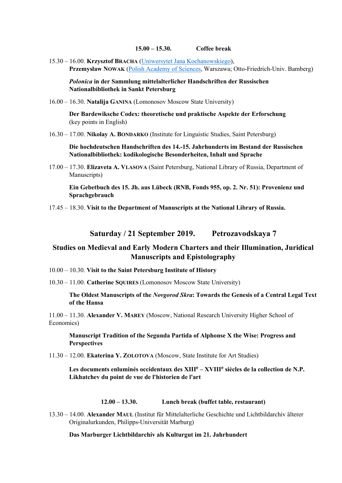**15.00 – 15.30. Coffee break**

15.30 – 16.00. **Krzysztof BRACHA** [\(Uniwersytet Jana Kochanowskiego\)](https://pl.wikipedia.org/wiki/Uniwersytet_Jana_Kochanowskiego_w_Kielcach), **Przemysław NOWAK** [\(Polish Academy of Sciences,](https://pan-pl.academia.edu/) Warszawa; Otto-Friedrich-Univ. Bamberg)

*Polonica* **in der Sammlung mittelalterlicher Handschriften der Russischen Nationalbibliothek in Sankt Petersburg**

16.00 – 16.30. **Natalija GANINA** (Lomonosov Moscow State University)

**Der Bardewiksche Codex: theoretische und praktische Aspekte der Erforschung**  (key points in English)

16.30 – 17.00. **Nikolay A. BONDARKO** (Institute for Linguistic Studies, Saint Petersburg)

**Die hochdeutschen Handschriften des 14.-15. Jahrhunderts im Bestand der Russischen Nationalbibliothek: kodikologische Besonderheiten, Inhalt und Sprache**

17.00 – 17.30. **Elizaveta A. VLASOVA** (Saint Petersburg, National Library of Russia, Department of Manuscripts)

**Ein Gebetbuch des 15. Jh. aus Lübeck (RNB, Fonds 955, op. 2. Nr. 51): Provenienz und Sprachgebrauch**

17.45 – 18.30. **Visit to the Department of Manuscripts at the National Library of Russia.**

**Saturday / 21 September 2019. Petrozavodskaya 7**

### **Studies on Medieval and Early Modern Charters and their Illumination, Juridical Manuscripts and Epistolography**

10.00 – 10.30. **Visit to the Saint Petersburg Institute of History**

10.30 – 11.00. **Catherine SQUIRES** (Lomonosov Moscow State University)

#### **The Oldest Manuscripts of the** *Novgorod Skra***: Towards the Genesis of a Central Legal Text of the Hansa**

11.00 – 11.30. **Alexander V. MAREY** (Moscow, National Research University Higher School of Economics)

**Manuscript Tradition of the Segunda Partida of Alphonse X the Wise: Progress and Perspectives**

11.30 – 12.00. **Ekaterina Y. ZOLOTOVA** (Moscow, State Institute for Art Studies)

**Les documents enluminés occidentaux des XIII<sup>e</sup> – XVIII<sup>e</sup> siècles de la collection de N.P. Likhatchev du point de vue de l'historien de l'art**

#### **12.00 – 13.30. Lunch break (buffet table, restaurant)**

13.30 – 14.00. **Alexander MAUL** (Institut für Mittelalterliche Geschichte und Lichtbildarchiv älterer Originalurkunden, Philipps-Universität Marburg)

**Das Marburger Lichtbildarchiv als Kulturgut im 21. Jahrhundert**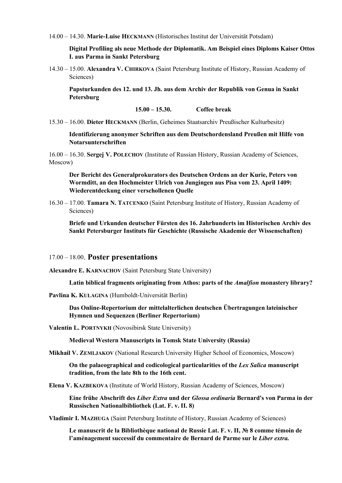14.00 – 14.30. **Marie-Luise HECKMANN** (Historisches Institut der Universität Potsdam)

**Digital Profiling als neue Methode der Diplomatik. Am Beispiel eines Diploms Kaiser Ottos I. aus Parma in Sankt Petersburg**

14.30 – 15.00. **Alexandra V. CHIRKOVA** (Saint Petersburg Institute of History, Russian Academy of Sciences)

**Papsturkunden des 12. und 13. Jh. aus dem Archiv der Republik von Genua in Sankt Petersburg**

**15.00 – 15.30. Coffee break** 

15.30 – 16.00. **Dieter HECKMANN** (Berlin, Geheimes Staatsarchiv Preußischer Kulturbesitz)

**Identifizierung anonymer Schriften aus dem Deutschordensland Preußen mit Hilfe von Notarsunterschriften**

16.00 – 16.30. **Sergej V. POLECHOV** (Institute of Russian History, Russian Academy of Sciences, Moscow)

**Der Bericht des Generalprokurators des Deutschen Ordens an der Kurie, Peters von Wormditt, an den Hochmeister Ulrich von Jungingen aus Pisa vom 23. April 1409: Wiederentdeckung einer verschollenen Quelle**

16.30 – 17.00. **Tamara N. TATCENKO** (Saint Petersburg Institute of History, Russian Academy of Sciences)

**Briefe und Urkunden deutscher Fürsten des 16. Jahrhunderts im Historischen Archiv des Sankt Petersburger Instituts für Geschichte (Russische Akademie der Wissenschaften)**

17.00 – 18.00. **Poster presentations**

**Alexandre E. KARNACHOV** (Saint Petersburg State University)

**Latin biblical fragments originating from Athos: parts of the** *Amalfion* **monastery library?**

**Pavlina K. KULAGINA** (Humboldt-Universität Berlin)

**Das Online-Repertorium der mittelalterlichen deutschen Übertragungen lateinischer Hymnen und Sequenzen (Berliner Repertorium)**

**Valentin L. PORTNYKH** (Novosibirsk State University)

**Medieval Western Manuscripts in Tomsk State University (Russia)**

**Mikhail V. ZEMLJAKOV** (National Research University Higher School of Economics, Moscow)

**On the palaeographical and codicological particularities of the** *Lex Salica* **manuscript tradition, from the late 8th to the 16th cent.**

**Elena V. KAZBEKOVA** (Institute of World History, Russian Academy of Sciences, Moscow)

**Eine frühe Abschrift des** *Liber Extra* **und der** *Glossa ordinaria* **Bernard's von Parma in der Russischen Nationalbibliothek (Lat. F. v. II. 8)**

**Vladimir I. MAZHUGA** (Saint Petersburg Institute of History, Russian Academy of Sciences)

**Le manuscrit de la Bibliothèque national de Russie Lat. F. v. II, № 8 comme témoin de l'aménagement successif du commentaire de Bernard de Parme sur le** *Liber extra.*